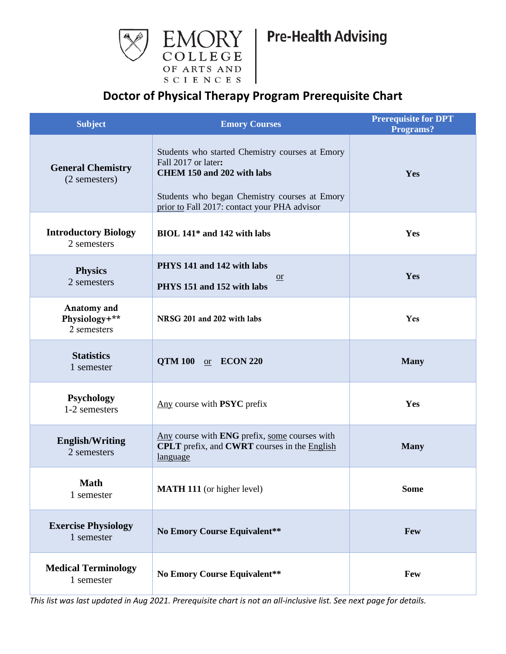

## **Doctor of Physical Therapy Program Prerequisite Chart**

| <b>Subject</b>                              | <b>Emory Courses</b>                                                                                                                                                                                  | <b>Prerequisite for DPT</b><br>Programs? |
|---------------------------------------------|-------------------------------------------------------------------------------------------------------------------------------------------------------------------------------------------------------|------------------------------------------|
| <b>General Chemistry</b><br>(2 semesters)   | Students who started Chemistry courses at Emory<br>Fall 2017 or later:<br>CHEM 150 and 202 with labs<br>Students who began Chemistry courses at Emory<br>prior to Fall 2017: contact your PHA advisor | Yes                                      |
| <b>Introductory Biology</b><br>2 semesters  | BIOL 141 <sup>*</sup> and 142 with labs                                                                                                                                                               | Yes                                      |
| <b>Physics</b><br>2 semesters               | PHYS 141 and 142 with labs<br>or<br>PHYS 151 and 152 with labs                                                                                                                                        | Yes                                      |
| Anatomy and<br>Physiology+**<br>2 semesters | NRSG 201 and 202 with labs                                                                                                                                                                            | Yes                                      |
| <b>Statistics</b><br>1 semester             | QTM 100 or ECON 220                                                                                                                                                                                   | <b>Many</b>                              |
| <b>Psychology</b><br>1-2 semesters          | Any course with <b>PSYC</b> prefix                                                                                                                                                                    | Yes                                      |
| <b>English/Writing</b><br>2 semesters       | Any course with ENG prefix, some courses with<br><b>CPLT</b> prefix, and <b>CWRT</b> courses in the <b>English</b><br>language                                                                        | <b>Many</b>                              |
| <b>Math</b><br>1 semester                   | <b>MATH 111</b> (or higher level)                                                                                                                                                                     | <b>Some</b>                              |
| <b>Exercise Physiology</b><br>1 semester    | No Emory Course Equivalent**                                                                                                                                                                          | Few                                      |
| <b>Medical Terminology</b><br>1 semester    | No Emory Course Equivalent**                                                                                                                                                                          | Few                                      |

*This list was last updated in Aug 2021. Prerequisite chart is not an all-inclusive list. See next page for details.*